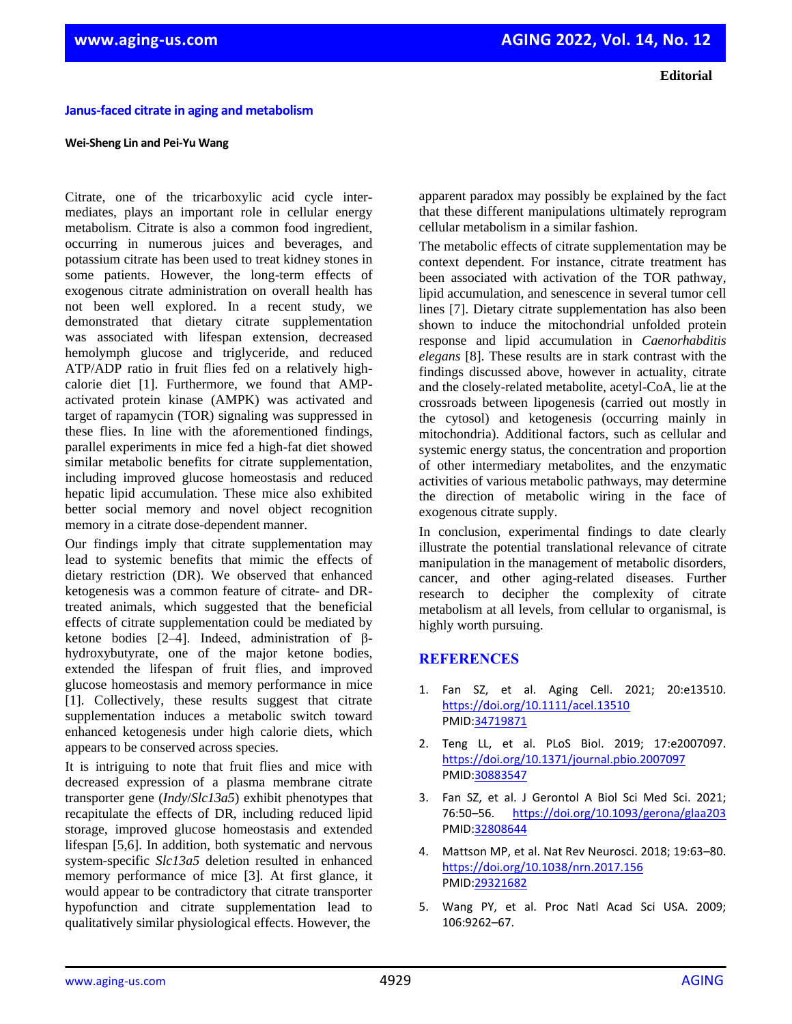**Janus-faced citrate in aging and metabolism** 

## **Wei-Sheng Lin and Pei-Yu Wang**

Citrate, one of the tricarboxylic acid cycle intermediates, plays an important role in cellular energy metabolism. Citrate is also a common food ingredient, occurring in numerous juices and beverages, and potassium citrate has been used to treat kidney stones in some patients. However, the long-term effects of exogenous citrate administration on overall health has not been well explored. In a recent study, we demonstrated that dietary citrate supplementation was associated with lifespan extension, decreased hemolymph glucose and triglyceride, and reduced ATP/ADP ratio in fruit flies fed on a relatively highcalorie diet [1]. Furthermore, we found that AMPactivated protein kinase (AMPK) was activated and target of rapamycin (TOR) signaling was suppressed in these flies. In line with the aforementioned findings, parallel experiments in mice fed a high-fat diet showed similar metabolic benefits for citrate supplementation, including improved glucose homeostasis and reduced hepatic lipid accumulation. These mice also exhibited better social memory and novel object recognition memory in a citrate dose-dependent manner.

Our findings imply that citrate supplementation may lead to systemic benefits that mimic the effects of dietary restriction (DR). We observed that enhanced ketogenesis was a common feature of citrate- and DRtreated animals, which suggested that the beneficial effects of citrate supplementation could be mediated by ketone bodies [2–4]. Indeed, administration of βhydroxybutyrate, one of the major ketone bodies, extended the lifespan of fruit flies, and improved glucose homeostasis and memory performance in mice [1]. Collectively, these results suggest that citrate supplementation induces a metabolic switch toward enhanced ketogenesis under high calorie diets, which appears to be conserved across species.

It is intriguing to note that fruit flies and mice with decreased expression of a plasma membrane citrate transporter gene (*Indy*/*Slc13a5*) exhibit phenotypes that recapitulate the effects of DR, including reduced lipid storage, improved glucose homeostasis and extended lifespan [5,6]. In addition, both systematic and nervous system-specific *Slc13a5* deletion resulted in enhanced memory performance of mice [3]. At first glance, it would appear to be contradictory that citrate transporter hypofunction and citrate supplementation lead to qualitatively similar physiological effects. However, the

apparent paradox may possibly be explained by the fact that these different manipulations ultimately reprogram cellular metabolism in a similar fashion.

The metabolic effects of citrate supplementation may be context dependent. For instance, citrate treatment has been associated with activation of the TOR pathway, lipid accumulation, and senescence in several tumor cell lines [7]. Dietary citrate supplementation has also been shown to induce the mitochondrial unfolded protein response and lipid accumulation in *Caenorhabditis elegans* [8]. These results are in stark contrast with the findings discussed above, however in actuality, citrate and the closely-related metabolite, acetyl-CoA, lie at the crossroads between lipogenesis (carried out mostly in the cytosol) and ketogenesis (occurring mainly in mitochondria). Additional factors, such as cellular and systemic energy status, the concentration and proportion of other intermediary metabolites, and the enzymatic activities of various metabolic pathways, may determine the direction of metabolic wiring in the face of exogenous citrate supply.

In conclusion, experimental findings to date clearly illustrate the potential translational relevance of citrate manipulation in the management of metabolic disorders, cancer, and other aging-related diseases. Further research to decipher the complexity of citrate metabolism at all levels, from cellular to organismal, is highly worth pursuing.

## **REFERENCES**

- 1. Fan SZ, et al. Aging Cell. 2021; 20:e13510. <https://doi.org/10.1111/acel.13510> PMID[:34719871](https://pubmed.ncbi.nlm.nih.gov/34719871/)
- 2. Teng LL, et al. PLoS Biol. 2019; 17:e2007097. <https://doi.org/10.1371/journal.pbio.2007097> [PMID:30883547](https://pubmed.ncbi.nlm.nih.gov/30883547)
- 3. Fan SZ, et al. J Gerontol A Biol Sci Med Sci. 2021; 76:50–56. <https://doi.org/10.1093/gerona/glaa203> [PMID:32808644](https://pubmed.ncbi.nlm.nih.gov/32808644)
- 4. Mattson MP, et al. Nat Rev Neurosci. 2018; 19:63–80. <https://doi.org/10.1038/nrn.2017.156> [PMID:29321682](https://pubmed.ncbi.nlm.nih.gov/29321682)
- 5. Wang PY, et al. Proc Natl Acad Sci USA. 2009; 106:9262–67.